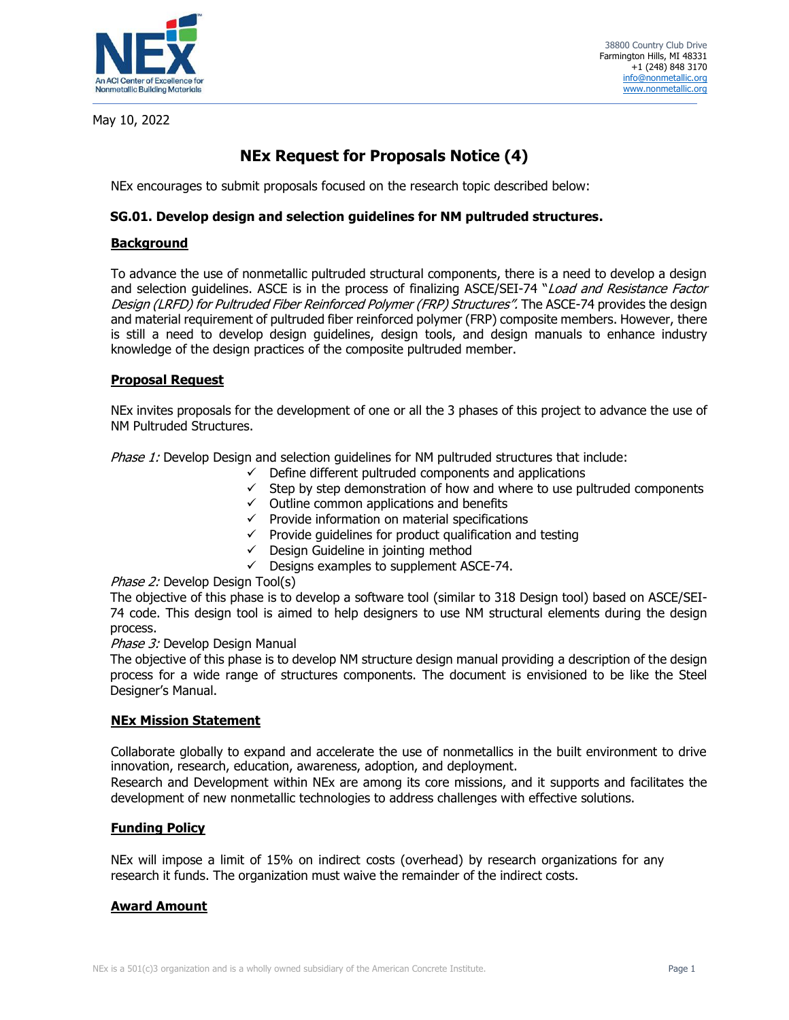

May 10, 2022

# **NEx Request for Proposals Notice (4)**

NEx encourages to submit proposals focused on the research topic described below:

# **SG.01. Develop design and selection guidelines for NM pultruded structures.**

# **Background**

To advance the use of nonmetallic pultruded structural components, there is a need to develop a design and selection quidelines. ASCE is in the process of finalizing ASCE/SEI-74 "Load and Resistance Factor Design (LRFD) for Pultruded Fiber Reinforced Polymer (FRP) Structures". The ASCE-74 provides the design and material requirement of pultruded fiber reinforced polymer (FRP) composite members. However, there is still a need to develop design guidelines, design tools, and design manuals to enhance industry knowledge of the design practices of the composite pultruded member.

# **Proposal Request**

NEx invites proposals for the development of one or all the 3 phases of this project to advance the use of NM Pultruded Structures.

Phase 1: Develop Design and selection quidelines for NM pultruded structures that include:

- $\checkmark$  Define different pultruded components and applications
- $\checkmark$  Step by step demonstration of how and where to use pultruded components
- $\checkmark$  Outline common applications and benefits
- $\checkmark$  Provide information on material specifications
- $\checkmark$  Provide guidelines for product qualification and testing
- $\checkmark$  Design Guideline in jointing method
- $\checkmark$  Designs examples to supplement ASCE-74.

# Phase 2: Develop Design Tool(s)

The objective of this phase is to develop a software tool (similar to 318 Design tool) based on ASCE/SEI-74 code. This design tool is aimed to help designers to use NM structural elements during the design process.

#### Phase 3: Develop Design Manual

The objective of this phase is to develop NM structure design manual providing a description of the design process for a wide range of structures components. The document is envisioned to be like the Steel Designer's Manual.

# **NEx Mission Statement**

Collaborate globally to expand and accelerate the use of nonmetallics in the built environment to drive innovation, research, education, awareness, adoption, and deployment.

Research and Development within NEx are among its core missions, and it supports and facilitates the development of new nonmetallic technologies to address challenges with effective solutions.

# **Funding Policy**

NEx will impose a limit of 15% on indirect costs (overhead) by research organizations for any research it funds. The organization must waive the remainder of the indirect costs.

# **Award Amount**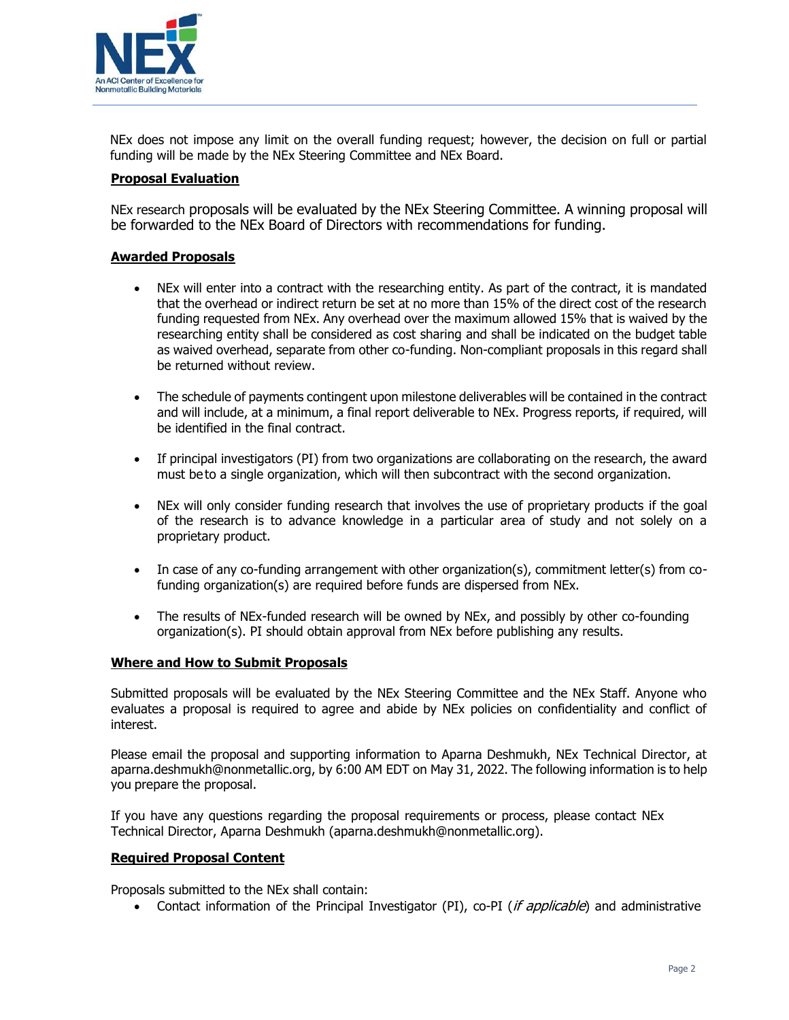

NEx does not impose any limit on the overall funding request; however, the decision on full or partial funding will be made by the NEx Steering Committee and NEx Board.

## **Proposal Evaluation**

NEx research proposals will be evaluated by the NEx Steering Committee. A winning proposal will be forwarded to the NEx Board of Directors with recommendations for funding.

### **Awarded Proposals**

- NEx will enter into a contract with the researching entity. As part of the contract, it is mandated that the overhead or indirect return be set at no more than 15% of the direct cost of the research funding requested from NEx. Any overhead over the maximum allowed 15% that is waived by the researching entity shall be considered as cost sharing and shall be indicated on the budget table as waived overhead, separate from other co-funding. Non-compliant proposals in this regard shall be returned without review.
- The schedule of payments contingent upon milestone deliverables will be contained in the contract and will include, at a minimum, a final report deliverable to NEx. Progress reports, if required, will be identified in the final contract.
- If principal investigators (PI) from two organizations are collaborating on the research, the award must be to a single organization, which will then subcontract with the second organization.
- NEx will only consider funding research that involves the use of proprietary products if the goal of the research is to advance knowledge in a particular area of study and not solely on a proprietary product.
- In case of any co-funding arrangement with other organization(s), commitment letter(s) from cofunding organization(s) are required before funds are dispersed from NEx.
- The results of NEx-funded research will be owned by NEx, and possibly by other co-founding organization(s). PI should obtain approval from NEx before publishing any results.

# **Where and How to Submit Proposals**

Submitted proposals will be evaluated by the NEx Steering Committee and the NEx Staff. Anyone who evaluates a proposal is required to agree and abide by NEx policies on confidentiality and conflict of interest.

Please email the proposal and supporting information to Aparna Deshmukh, NEx Technical Director, at aparna.deshmukh@nonmetallic.org, by 6:00 AM EDT on May 31, 2022. The following information is to help you prepare the proposal.

If you have any questions regarding the proposal requirements or process, please contact NEx Technical Director, Aparna Deshmukh (aparna.deshmukh@nonmetallic.org).

#### **Required Proposal Content**

Proposals submitted to the NEx shall contain:

• Contact information of the Principal Investigator (PI), co-PI (if applicable) and administrative